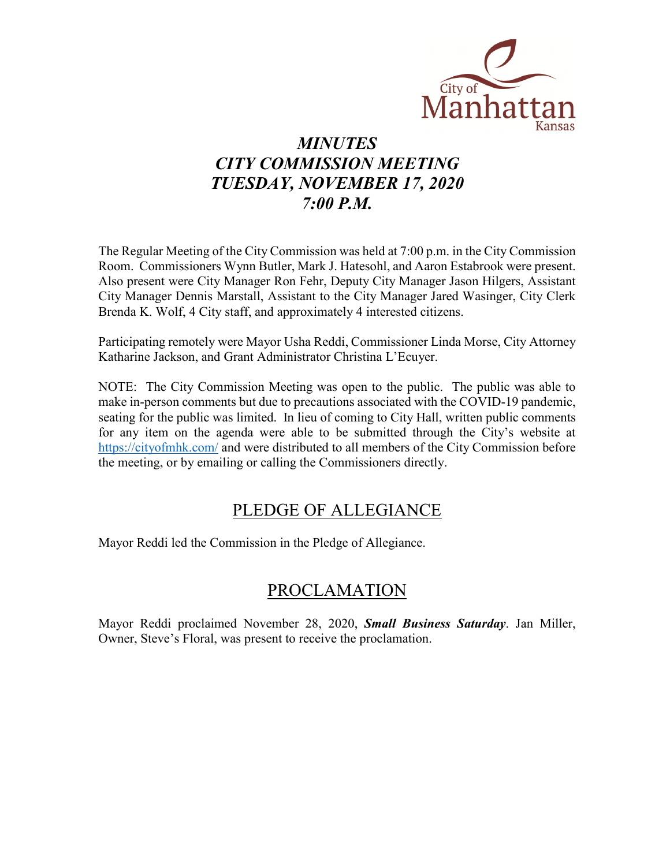

# *MINUTES CITY COMMISSION MEETING TUESDAY, NOVEMBER 17, 2020 7:00 P.M.*

The Regular Meeting of the City Commission was held at 7:00 p.m. in the City Commission Room. Commissioners Wynn Butler, Mark J. Hatesohl, and Aaron Estabrook were present. Also present were City Manager Ron Fehr, Deputy City Manager Jason Hilgers, Assistant City Manager Dennis Marstall, Assistant to the City Manager Jared Wasinger, City Clerk Brenda K. Wolf, 4 City staff, and approximately 4 interested citizens.

Participating remotely were Mayor Usha Reddi, Commissioner Linda Morse, City Attorney Katharine Jackson, and Grant Administrator Christina L'Ecuyer.

NOTE: The City Commission Meeting was open to the public. The public was able to make in-person comments but due to precautions associated with the COVID-19 pandemic, seating for the public was limited. In lieu of coming to City Hall, written public comments for any item on the agenda were able to be submitted through the City's website at [https://cityofmhk.com/](https://cityofmhk.com/and) and were distributed to all members of the City Commission before the meeting, or by emailing or calling the Commissioners directly.

### PLEDGE OF ALLEGIANCE

Mayor Reddi led the Commission in the Pledge of Allegiance.

### PROCLAMATION

Mayor Reddi proclaimed November 28, 2020, *Small Business Saturday*. Jan Miller, Owner, Steve's Floral, was present to receive the proclamation.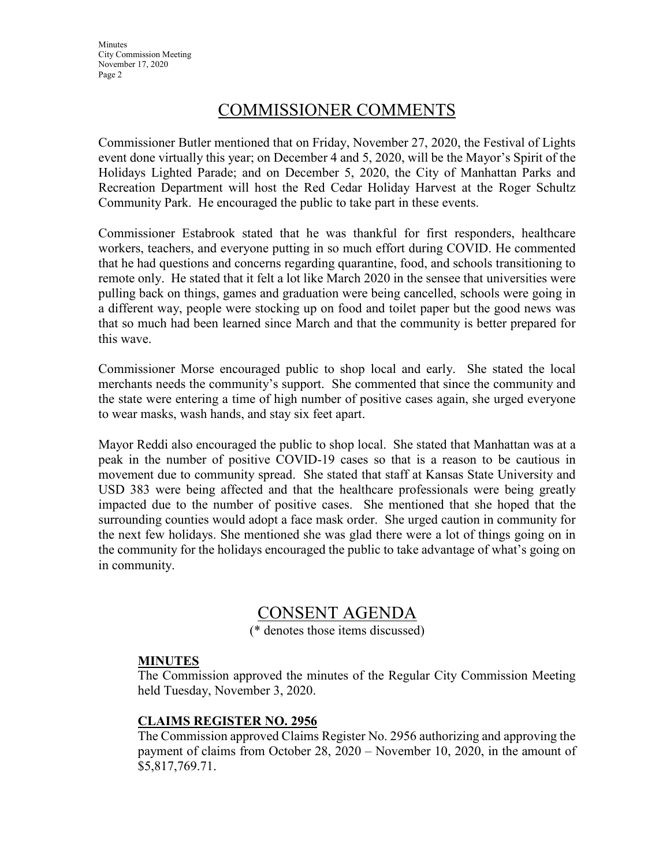**Minutes** City Commission Meeting November 17, 2020 Page 2

### COMMISSIONER COMMENTS

Commissioner Butler mentioned that on Friday, November 27, 2020, the Festival of Lights event done virtually this year; on December 4 and 5, 2020, will be the Mayor's Spirit of the Holidays Lighted Parade; and on December 5, 2020, the City of Manhattan Parks and Recreation Department will host the Red Cedar Holiday Harvest at the Roger Schultz Community Park. He encouraged the public to take part in these events.

Commissioner Estabrook stated that he was thankful for first responders, healthcare workers, teachers, and everyone putting in so much effort during COVID. He commented that he had questions and concerns regarding quarantine, food, and schools transitioning to remote only. He stated that it felt a lot like March 2020 in the sensee that universities were pulling back on things, games and graduation were being cancelled, schools were going in a different way, people were stocking up on food and toilet paper but the good news was that so much had been learned since March and that the community is better prepared for this wave.

Commissioner Morse encouraged public to shop local and early. She stated the local merchants needs the community's support. She commented that since the community and the state were entering a time of high number of positive cases again, she urged everyone to wear masks, wash hands, and stay six feet apart.

Mayor Reddi also encouraged the public to shop local. She stated that Manhattan was at a peak in the number of positive COVID-19 cases so that is a reason to be cautious in movement due to community spread. She stated that staff at Kansas State University and USD 383 were being affected and that the healthcare professionals were being greatly impacted due to the number of positive cases. She mentioned that she hoped that the surrounding counties would adopt a face mask order. She urged caution in community for the next few holidays. She mentioned she was glad there were a lot of things going on in the community for the holidays encouraged the public to take advantage of what's going on in community.

### CONSENT AGENDA

(\* denotes those items discussed)

#### **MINUTES**

The Commission approved the minutes of the Regular City Commission Meeting held Tuesday, November 3, 2020.

#### **CLAIMS REGISTER NO. 2956**

The Commission approved Claims Register No. 2956 authorizing and approving the payment of claims from October 28, 2020 – November 10, 2020, in the amount of \$5,817,769.71.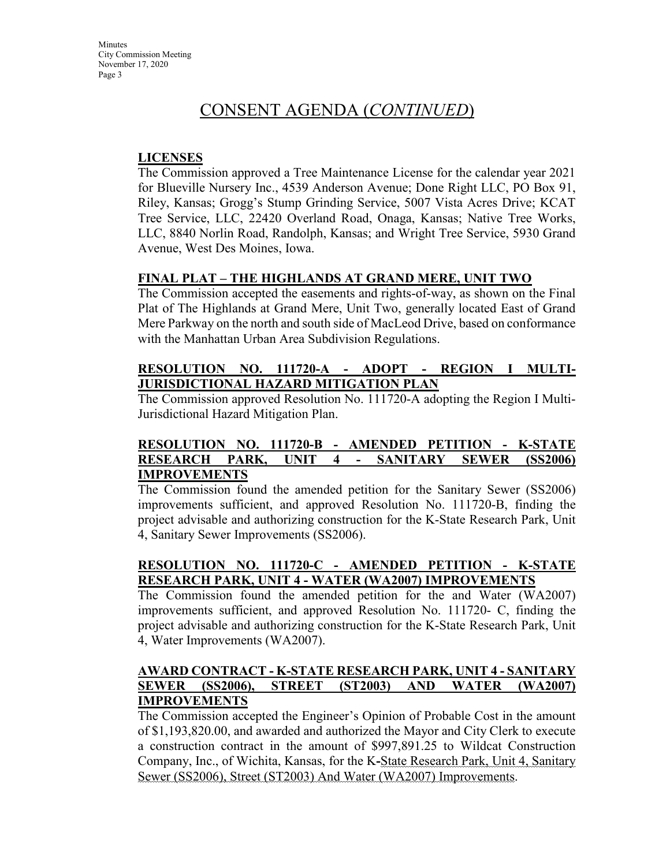**Minutes** City Commission Meeting November 17, 2020 Page 3

### CONSENT AGENDA (*CONTINUED*)

#### **LICENSES**

The Commission approved a Tree Maintenance License for the calendar year 2021 for Blueville Nursery Inc., 4539 Anderson Avenue; Done Right LLC, PO Box 91, Riley, Kansas; Grogg's Stump Grinding Service, 5007 Vista Acres Drive; KCAT Tree Service, LLC, 22420 Overland Road, Onaga, Kansas; Native Tree Works, LLC, 8840 Norlin Road, Randolph, Kansas; and Wright Tree Service, 5930 Grand Avenue, West Des Moines, Iowa.

#### **FINAL PLAT – THE HIGHLANDS AT GRAND MERE, UNIT TWO**

The Commission accepted the easements and rights-of-way, as shown on the Final Plat of The Highlands at Grand Mere, Unit Two, generally located East of Grand Mere Parkway on the north and south side of MacLeod Drive, based on conformance with the Manhattan Urban Area Subdivision Regulations.

#### **RESOLUTION NO. 111720-A - ADOPT - REGION I MULTI-JURISDICTIONAL HAZARD MITIGATION PLAN**

The Commission approved Resolution No. 111720-A adopting the Region I Multi-Jurisdictional Hazard Mitigation Plan.

#### **RESOLUTION NO. 111720-B - AMENDED PETITION - K-STATE RESEARCH PARK, UNIT 4 - SANITARY SEWER (SS2006) IMPROVEMENTS**

The Commission found the amended petition for the Sanitary Sewer (SS2006) improvements sufficient, and approved Resolution No. 111720-B, finding the project advisable and authorizing construction for the K-State Research Park, Unit 4, Sanitary Sewer Improvements (SS2006).

#### **RESOLUTION NO. 111720-C - AMENDED PETITION - K-STATE RESEARCH PARK, UNIT 4 - WATER (WA2007) IMPROVEMENTS**

The Commission found the amended petition for the and Water (WA2007) improvements sufficient, and approved Resolution No. 111720- C, finding the project advisable and authorizing construction for the K-State Research Park, Unit 4, Water Improvements (WA2007).

#### **AWARD CONTRACT - K-STATE RESEARCH PARK, UNIT 4 - SANITARY SEWER (SS2006), STREET (ST2003) AND WATER (WA2007) IMPROVEMENTS**

The Commission accepted the Engineer's Opinion of Probable Cost in the amount of \$1,193,820.00, and awarded and authorized the Mayor and City Clerk to execute a construction contract in the amount of \$997,891.25 to Wildcat Construction Company, Inc., of Wichita, Kansas, for the K**-**State Research Park, Unit 4, Sanitary Sewer (SS2006), Street (ST2003) And Water (WA2007) Improvements.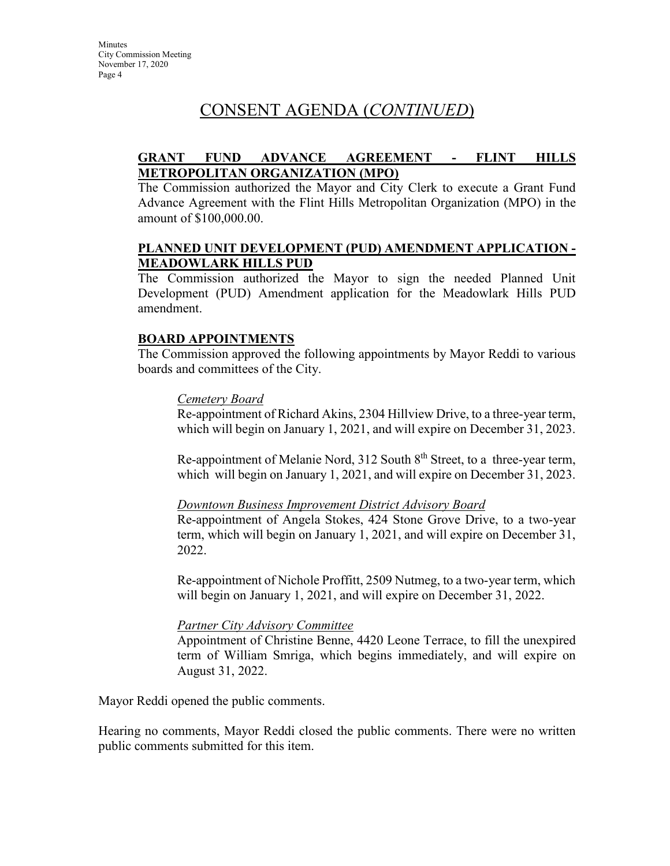### CONSENT AGENDA (*CONTINUED*)

#### **GRANT FUND ADVANCE AGREEMENT - FLINT HILLS METROPOLITAN ORGANIZATION (MPO)**

The Commission authorized the Mayor and City Clerk to execute a Grant Fund Advance Agreement with the Flint Hills Metropolitan Organization (MPO) in the amount of \$100,000.00.

#### **PLANNED UNIT DEVELOPMENT (PUD) AMENDMENT APPLICATION - MEADOWLARK HILLS PUD**

The Commission authorized the Mayor to sign the needed Planned Unit Development (PUD) Amendment application for the Meadowlark Hills PUD amendment.

#### **BOARD APPOINTMENTS**

The Commission approved the following appointments by Mayor Reddi to various boards and committees of the City.

#### *Cemetery Board*

Re-appointment of Richard Akins, 2304 Hillview Drive, to a three-year term, which will begin on January 1, 2021, and will expire on December 31, 2023.

Re-appointment of Melanie Nord, 312 South 8<sup>th</sup> Street, to a three-year term, which will begin on January 1, 2021, and will expire on December 31, 2023.

#### *Downtown Business Improvement District Advisory Board*

Re-appointment of Angela Stokes, 424 Stone Grove Drive, to a two-year term, which will begin on January 1, 2021, and will expire on December 31, 2022.

Re-appointment of Nichole Proffitt, 2509 Nutmeg, to a two-year term, which will begin on January 1, 2021, and will expire on December 31, 2022.

#### *Partner City Advisory Committee*

Appointment of Christine Benne, 4420 Leone Terrace, to fill the unexpired term of William Smriga, which begins immediately, and will expire on August 31, 2022.

Mayor Reddi opened the public comments.

Hearing no comments, Mayor Reddi closed the public comments. There were no written public comments submitted for this item.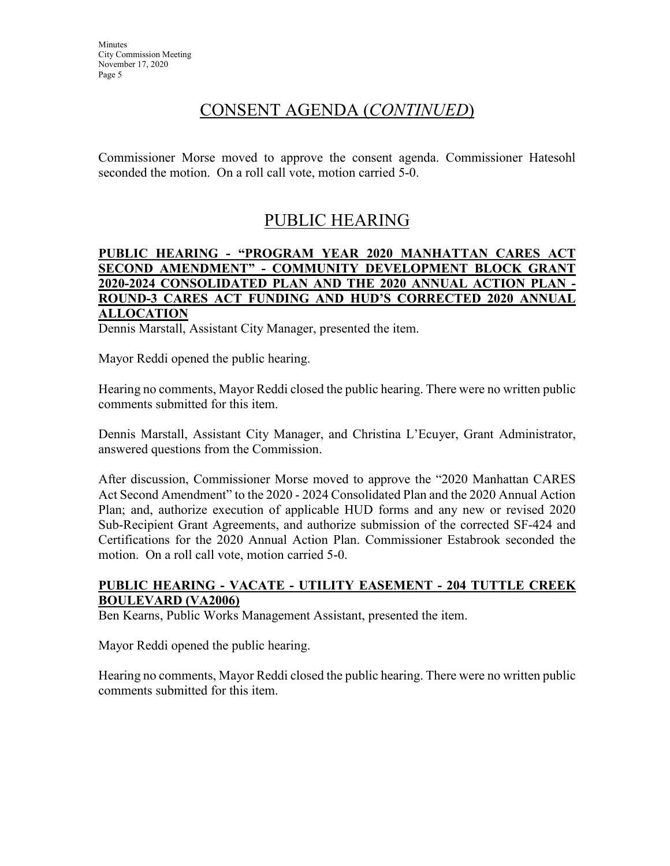### CONSENT AGENDA (*CONTINUED*)

Commissioner Morse moved to approve the consent agenda. Commissioner Hatesohl seconded the motion. On a roll call vote, motion carried 5-0.

# PUBLIC HEARING

#### **PUBLIC HEARING - "PROGRAM YEAR 2020 MANHATTAN CARES ACT SECOND AMENDMENT" - COMMUNITY DEVELOPMENT BLOCK GRANT 2020-2024 CONSOLIDATED PLAN AND THE 2020 ANNUAL ACTION PLAN - ROUND-3 CARES ACT FUNDING AND HUD'S CORRECTED 2020 ANNUAL ALLOCATION**

Dennis Marstall, Assistant City Manager, presented the item.

Mayor Reddi opened the public hearing.

Hearing no comments, Mayor Reddi closed the public hearing. There were no written public comments submitted for this item.

Dennis Marstall, Assistant City Manager, and Christina L'Ecuyer, Grant Administrator, answered questions from the Commission.

After discussion, Commissioner Morse moved to approve the "2020 Manhattan CARES Act Second Amendment" to the 2020 - 2024 Consolidated Plan and the 2020 Annual Action Plan; and, authorize execution of applicable HUD forms and any new or revised 2020 Sub-Recipient Grant Agreements, and authorize submission of the corrected SF-424 and Certifications for the 2020 Annual Action Plan. Commissioner Estabrook seconded the motion. On a roll call vote, motion carried 5-0.

#### **PUBLIC HEARING - VACATE - UTILITY EASEMENT - 204 TUTTLE CREEK BOULEVARD (VA2006)**

Ben Kearns, Public Works Management Assistant, presented the item.

Mayor Reddi opened the public hearing.

Hearing no comments, Mayor Reddi closed the public hearing. There were no written public comments submitted for this item.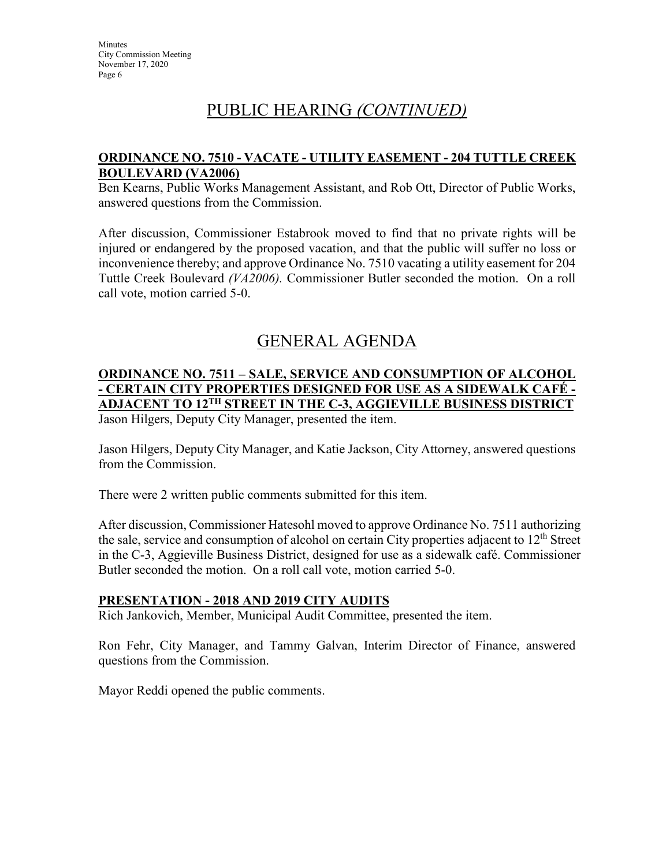# PUBLIC HEARING *(CONTINUED)*

#### **ORDINANCE NO. 7510 - VACATE - UTILITY EASEMENT - 204 TUTTLE CREEK BOULEVARD (VA2006)**

Ben Kearns, Public Works Management Assistant, and Rob Ott, Director of Public Works, answered questions from the Commission.

After discussion, Commissioner Estabrook moved to find that no private rights will be injured or endangered by the proposed vacation, and that the public will suffer no loss or inconvenience thereby; and approve Ordinance No. 7510 vacating a utility easement for 204 Tuttle Creek Boulevard *(VA2006).* Commissioner Butler seconded the motion. On a roll call vote, motion carried 5-0.

# GENERAL AGENDA

### **ORDINANCE NO. 7511 – SALE, SERVICE AND CONSUMPTION OF ALCOHOL - CERTAIN CITY PROPERTIES DESIGNED FOR USE AS A SIDEWALK CAFÉ - ADJACENT TO 12TH STREET IN THE C-3, AGGIEVILLE BUSINESS DISTRICT**

Jason Hilgers, Deputy City Manager, presented the item.

Jason Hilgers, Deputy City Manager, and Katie Jackson, City Attorney, answered questions from the Commission.

There were 2 written public comments submitted for this item.

After discussion, Commissioner Hatesohl moved to approve Ordinance No. 7511 authorizing the sale, service and consumption of alcohol on certain City properties adjacent to  $12<sup>th</sup>$  Street in the C-3, Aggieville Business District, designed for use as a sidewalk café. Commissioner Butler seconded the motion. On a roll call vote, motion carried 5-0.

#### **PRESENTATION - 2018 AND 2019 CITY AUDITS**

Rich Jankovich, Member, Municipal Audit Committee, presented the item.

Ron Fehr, City Manager, and Tammy Galvan, Interim Director of Finance, answered questions from the Commission.

Mayor Reddi opened the public comments.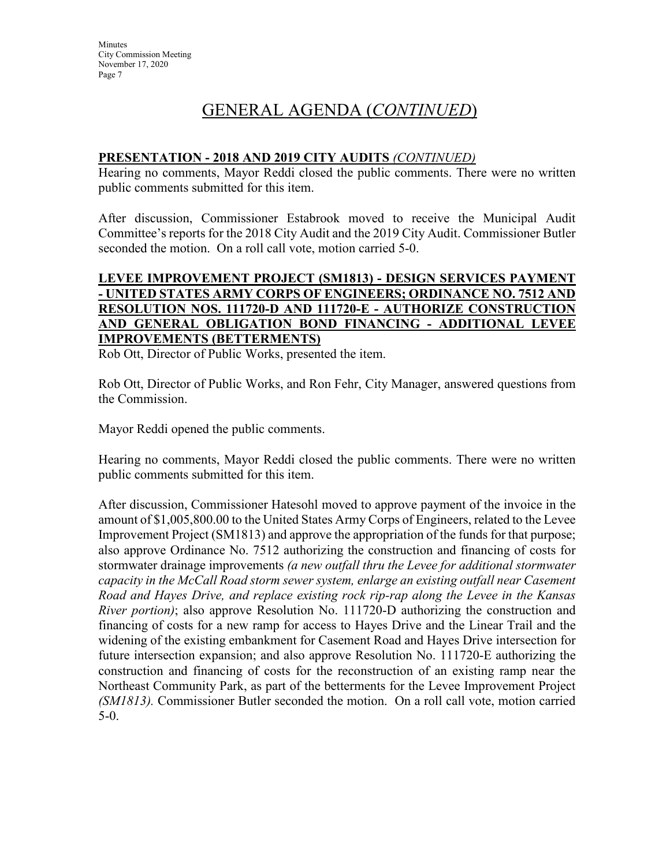# GENERAL AGENDA (*CONTINUED*)

#### **PRESENTATION - 2018 AND 2019 CITY AUDITS** *(CONTINUED)*

Hearing no comments, Mayor Reddi closed the public comments. There were no written public comments submitted for this item.

After discussion, Commissioner Estabrook moved to receive the Municipal Audit Committee's reports for the 2018 City Audit and the 2019 City Audit. Commissioner Butler seconded the motion. On a roll call vote, motion carried 5-0.

#### **LEVEE IMPROVEMENT PROJECT (SM1813) - DESIGN SERVICES PAYMENT - UNITED STATES ARMY CORPS OF ENGINEERS; ORDINANCE NO. 7512 AND RESOLUTION NOS. 111720-D AND 111720-E - AUTHORIZE CONSTRUCTION AND GENERAL OBLIGATION BOND FINANCING - ADDITIONAL LEVEE IMPROVEMENTS (BETTERMENTS)**

Rob Ott, Director of Public Works, presented the item.

Rob Ott, Director of Public Works, and Ron Fehr, City Manager, answered questions from the Commission.

Mayor Reddi opened the public comments.

Hearing no comments, Mayor Reddi closed the public comments. There were no written public comments submitted for this item.

After discussion, Commissioner Hatesohl moved to approve payment of the invoice in the amount of \$1,005,800.00 to the United States Army Corps of Engineers, related to the Levee Improvement Project (SM1813) and approve the appropriation of the funds for that purpose; also approve Ordinance No. 7512 authorizing the construction and financing of costs for stormwater drainage improvements *(a new outfall thru the Levee for additional stormwater capacity in the McCall Road storm sewer system, enlarge an existing outfall near Casement Road and Hayes Drive, and replace existing rock rip-rap along the Levee in the Kansas River portion*); also approve Resolution No. 111720-D authorizing the construction and financing of costs for a new ramp for access to Hayes Drive and the Linear Trail and the widening of the existing embankment for Casement Road and Hayes Drive intersection for future intersection expansion; and also approve Resolution No. 111720-E authorizing the construction and financing of costs for the reconstruction of an existing ramp near the Northeast Community Park, as part of the betterments for the Levee Improvement Project *(SM1813).* Commissioner Butler seconded the motion. On a roll call vote, motion carried 5-0.